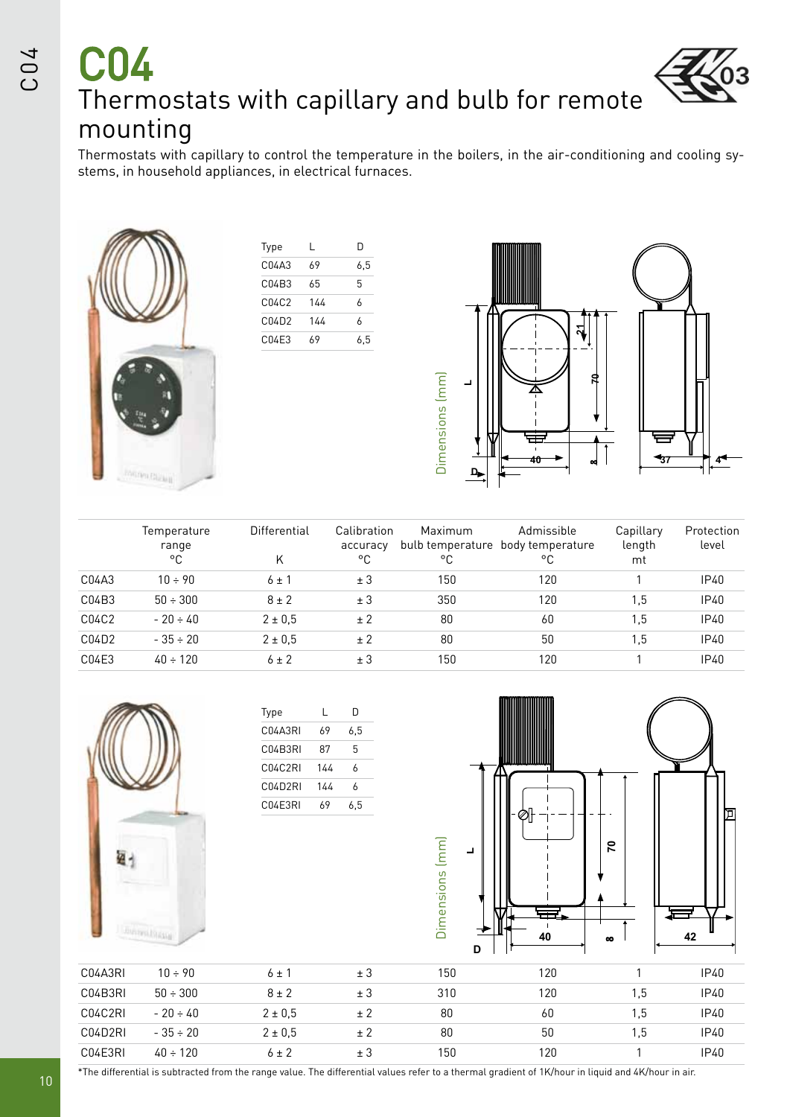# C04 Thermostats with capillary and bulb for remote mounting

Thermostats with capillary to control the temperature in the boilers, in the air-conditioning and cooling systems, in household appliances, in electrical furnaces.



| L   | D   |
|-----|-----|
| 69  | 6,5 |
| 65  | 5   |
| 144 | 6   |
| 144 | 6   |
| 69  | 6,5 |
|     |     |



|       | Temperature<br>range<br>°€ | Differential<br>K | Calibration<br>accuracy<br>°C | Maximum<br>۰c | Admissible<br>bulb temperature body temperature<br>°C | Capillary<br>length<br>mt | Protection<br>level |
|-------|----------------------------|-------------------|-------------------------------|---------------|-------------------------------------------------------|---------------------------|---------------------|
| C04A3 | $10 \div 90$               | $6 \pm 1$         | ± 3                           | 150           | 120                                                   |                           | IP40                |
| C04B3 | $50 \div 300$              | $8 \pm 2$         | ± 3                           | 350           | 120                                                   | 1,5                       | <b>IP40</b>         |
| C04C2 | $-20 \div 40$              | $2 \pm 0.5$       | ± 2                           | 80            | 60                                                    | 1,5                       | IP40                |
| C04D2 | $-35 \div 20$              | $2 \pm 0.5$       | ± 2                           | 80            | 50                                                    | 1,5                       | <b>IP40</b>         |
| C04E3 | $40 \div 120$              | $6 \pm 2$         | ± 3                           | 150           | 120                                                   |                           | IP40                |



\*The differential is subtracted from the range value. The differential values refer to a thermal gradient of 1K/hour in liquid and 4K/hour in air.